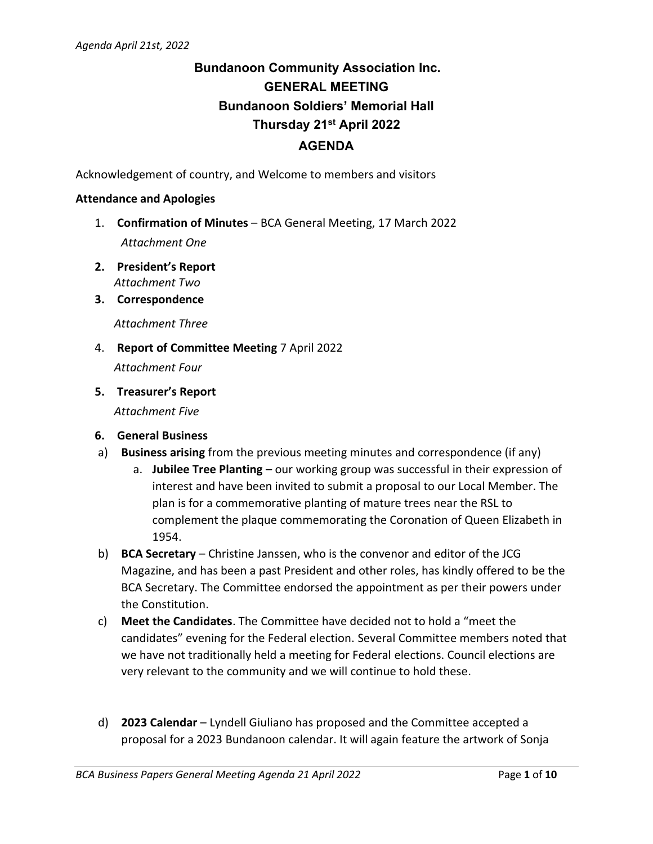# **Bundanoon Community Association Inc. GENERAL MEETING Bundanoon Soldiers' Memorial Hall Thursday 21st April 2022 AGENDA**

Acknowledgement of country, and Welcome to members and visitors

#### **Attendance and Apologies**

- 1. **Confirmation of Minutes** BCA General Meeting, 17 March 2022 *Attachment One*
- **2. President's Report** *Attachment Two*
- **3. Correspondence**

*Attachment Three*

- 4. **Report of Committee Meeting** 7 April 2022 *Attachment Four*
- **5. Treasurer's Report**

*Attachment Five*

- **6. General Business**
- a) **Business arising** from the previous meeting minutes and correspondence (if any)
	- a. **Jubilee Tree Planting** our working group was successful in their expression of interest and have been invited to submit a proposal to our Local Member. The plan is for a commemorative planting of mature trees near the RSL to complement the plaque commemorating the Coronation of Queen Elizabeth in 1954.
- b) **BCA Secretary** Christine Janssen, who is the convenor and editor of the JCG Magazine, and has been a past President and other roles, has kindly offered to be the BCA Secretary. The Committee endorsed the appointment as per their powers under the Constitution.
- c) **Meet the Candidates**. The Committee have decided not to hold a "meet the candidates" evening for the Federal election. Several Committee members noted that we have not traditionally held a meeting for Federal elections. Council elections are very relevant to the community and we will continue to hold these.
- d) **2023 Calendar** Lyndell Giuliano has proposed and the Committee accepted a proposal for a 2023 Bundanoon calendar. It will again feature the artwork of Sonja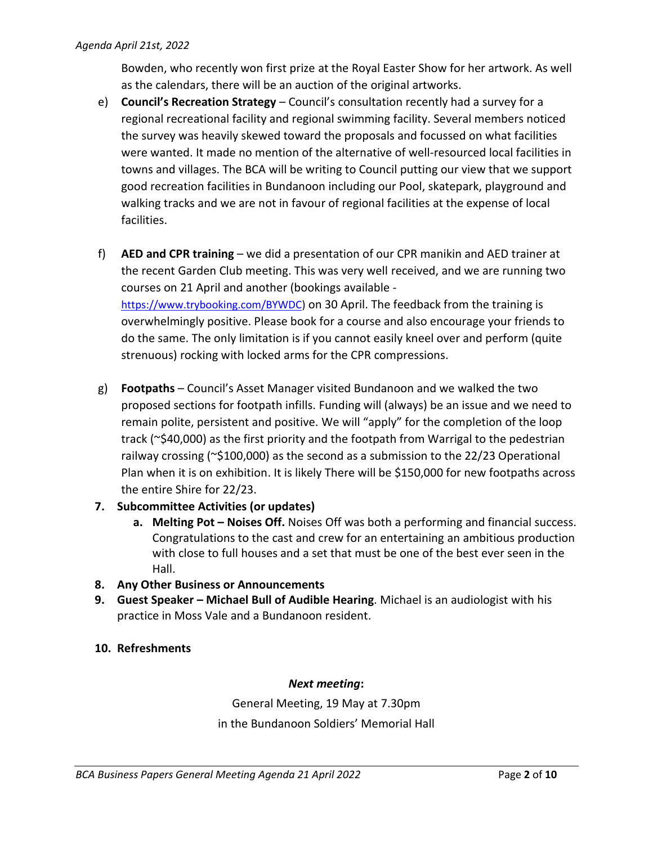Bowden, who recently won first prize at the Royal Easter Show for her artwork. As well as the calendars, there will be an auction of the original artworks.

- e) **Council's Recreation Strategy** Council's consultation recently had a survey for a regional recreational facility and regional swimming facility. Several members noticed the survey was heavily skewed toward the proposals and focussed on what facilities were wanted. It made no mention of the alternative of well-resourced local facilities in towns and villages. The BCA will be writing to Council putting our view that we support good recreation facilities in Bundanoon including our Pool, skatepark, playground and walking tracks and we are not in favour of regional facilities at the expense of local facilities.
- f) **AED and CPR training** we did a presentation of our CPR manikin and AED trainer at the recent Garden Club meeting. This was very well received, and we are running two courses on 21 April and another (bookings available [https://www.trybooking.com/BYWDC\)](https://smex-ctp.trendmicro.com/wis/clicktime/v1/query?url=https%3a%2f%2fwww.trybooking.com%2fBYWDC&umid=5487c043-90b1-4450-aa26-6ced55217943&auth=683904e05ae27345cfaef3d593c8489debe13ff2-3423945bf86a2d1500c7eb39decef261161a3923) on 30 April. The feedback from the training is overwhelmingly positive. Please book for a course and also encourage your friends to do the same. The only limitation is if you cannot easily kneel over and perform (quite strenuous) rocking with locked arms for the CPR compressions.
- g) **Footpaths** Council's Asset Manager visited Bundanoon and we walked the two proposed sections for footpath infills. Funding will (always) be an issue and we need to remain polite, persistent and positive. We will "apply" for the completion of the loop track (~\$40,000) as the first priority and the footpath from Warrigal to the pedestrian railway crossing (~\$100,000) as the second as a submission to the 22/23 Operational Plan when it is on exhibition. It is likely There will be \$150,000 for new footpaths across the entire Shire for 22/23.
- **7. Subcommittee Activities (or updates)**
	- **a. Melting Pot – Noises Off.** Noises Off was both a performing and financial success. Congratulations to the cast and crew for an entertaining an ambitious production with close to full houses and a set that must be one of the best ever seen in the Hall.
- **8. Any Other Business or Announcements**
- **9. Guest Speaker – Michael Bull of Audible Hearing**. Michael is an audiologist with his practice in Moss Vale and a Bundanoon resident.
- **10. Refreshments**

# *Next meeting***:**

General Meeting, 19 May at 7.30pm in the Bundanoon Soldiers' Memorial Hall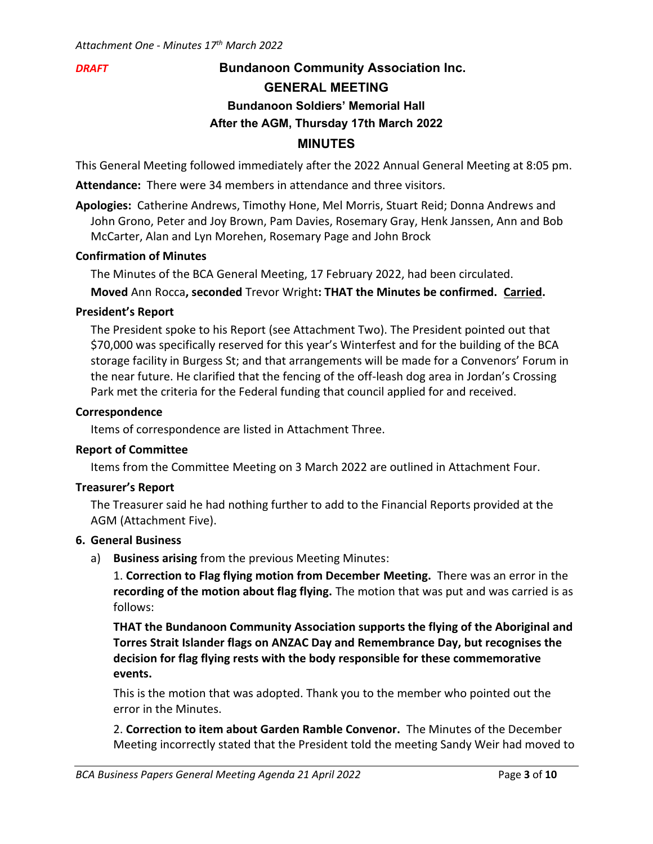# *DRAFT* **Bundanoon Community Association Inc. GENERAL MEETING Bundanoon Soldiers' Memorial Hall After the AGM, Thursday 17th March 2022 MINUTES**

This General Meeting followed immediately after the 2022 Annual General Meeting at 8:05 pm.

**Attendance:** There were 34 members in attendance and three visitors.

**Apologies:** Catherine Andrews, Timothy Hone, Mel Morris, Stuart Reid; Donna Andrews and John Grono, Peter and Joy Brown, Pam Davies, Rosemary Gray, Henk Janssen, Ann and Bob McCarter, Alan and Lyn Morehen, Rosemary Page and John Brock

# **Confirmation of Minutes**

The Minutes of the BCA General Meeting, 17 February 2022, had been circulated. **Moved** Ann Rocca**, seconded** Trevor Wright**: THAT the Minutes be confirmed. Carried.**

# **President's Report**

The President spoke to his Report (see Attachment Two). The President pointed out that \$70,000 was specifically reserved for this year's Winterfest and for the building of the BCA storage facility in Burgess St; and that arrangements will be made for a Convenors' Forum in the near future. He clarified that the fencing of the off-leash dog area in Jordan's Crossing Park met the criteria for the Federal funding that council applied for and received.

# **Correspondence**

Items of correspondence are listed in Attachment Three.

# **Report of Committee**

Items from the Committee Meeting on 3 March 2022 are outlined in Attachment Four.

# **Treasurer's Report**

The Treasurer said he had nothing further to add to the Financial Reports provided at the AGM (Attachment Five).

# **6. General Business**

a) **Business arising** from the previous Meeting Minutes:

1. **Correction to Flag flying motion from December Meeting.** There was an error in the **recording of the motion about flag flying.** The motion that was put and was carried is as follows:

**THAT the Bundanoon Community Association supports the flying of the Aboriginal and Torres Strait Islander flags on ANZAC Day and Remembrance Day, but recognises the decision for flag flying rests with the body responsible for these commemorative events.**

This is the motion that was adopted. Thank you to the member who pointed out the error in the Minutes.

2. **Correction to item about Garden Ramble Convenor.** The Minutes of the December Meeting incorrectly stated that the President told the meeting Sandy Weir had moved to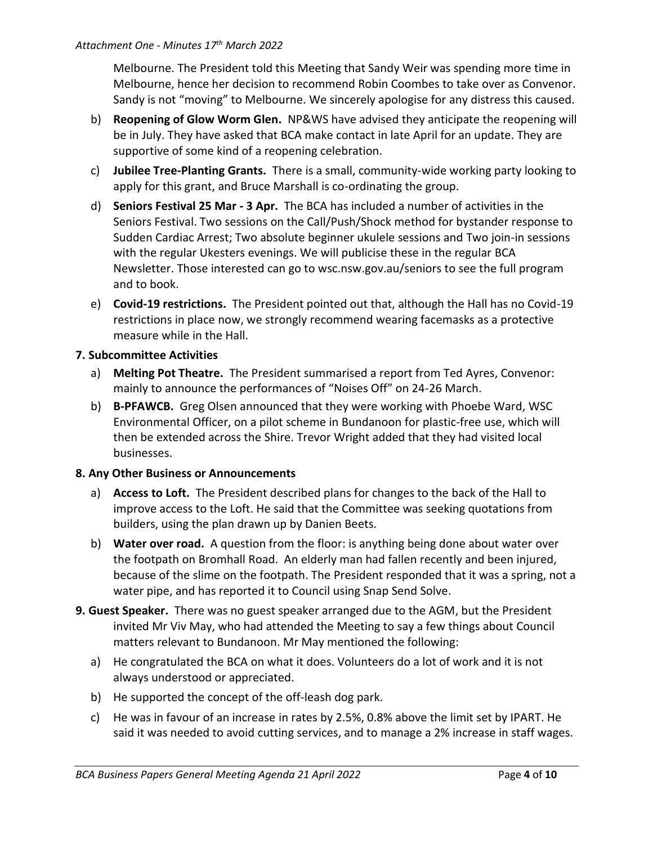Melbourne. The President told this Meeting that Sandy Weir was spending more time in Melbourne, hence her decision to recommend Robin Coombes to take over as Convenor. Sandy is not "moving" to Melbourne. We sincerely apologise for any distress this caused.

- b) **Reopening of Glow Worm Glen.** NP&WS have advised they anticipate the reopening will be in July. They have asked that BCA make contact in late April for an update. They are supportive of some kind of a reopening celebration.
- c) **Jubilee Tree-Planting Grants.** There is a small, community-wide working party looking to apply for this grant, and Bruce Marshall is co-ordinating the group.
- d) **Seniors Festival 25 Mar - 3 Apr.** The BCA has included a number of activities in the Seniors Festival. Two sessions on the Call/Push/Shock method for bystander response to Sudden Cardiac Arrest; Two absolute beginner ukulele sessions and Two join-in sessions with the regular Ukesters evenings. We will publicise these in the regular BCA Newsletter. Those interested can go to wsc.nsw.gov.au/seniors to see the full program and to book.
- e) **Covid-19 restrictions.** The President pointed out that, although the Hall has no Covid-19 restrictions in place now, we strongly recommend wearing facemasks as a protective measure while in the Hall.

# **7. Subcommittee Activities**

- a) **Melting Pot Theatre.** The President summarised a report from Ted Ayres, Convenor: mainly to announce the performances of "Noises Off" on 24-26 March.
- b) **B-PFAWCB.** Greg Olsen announced that they were working with Phoebe Ward, WSC Environmental Officer, on a pilot scheme in Bundanoon for plastic-free use, which will then be extended across the Shire. Trevor Wright added that they had visited local businesses.

# **8. Any Other Business or Announcements**

- a) **Access to Loft.** The President described plans for changes to the back of the Hall to improve access to the Loft. He said that the Committee was seeking quotations from builders, using the plan drawn up by Danien Beets.
- b) **Water over road.** A question from the floor: is anything being done about water over the footpath on Bromhall Road. An elderly man had fallen recently and been injured, because of the slime on the footpath. The President responded that it was a spring, not a water pipe, and has reported it to Council using Snap Send Solve.
- **9. Guest Speaker.** There was no guest speaker arranged due to the AGM, but the President invited Mr Viv May, who had attended the Meeting to say a few things about Council matters relevant to Bundanoon. Mr May mentioned the following:
	- a) He congratulated the BCA on what it does. Volunteers do a lot of work and it is not always understood or appreciated.
	- b) He supported the concept of the off-leash dog park.
	- c) He was in favour of an increase in rates by 2.5%, 0.8% above the limit set by IPART. He said it was needed to avoid cutting services, and to manage a 2% increase in staff wages.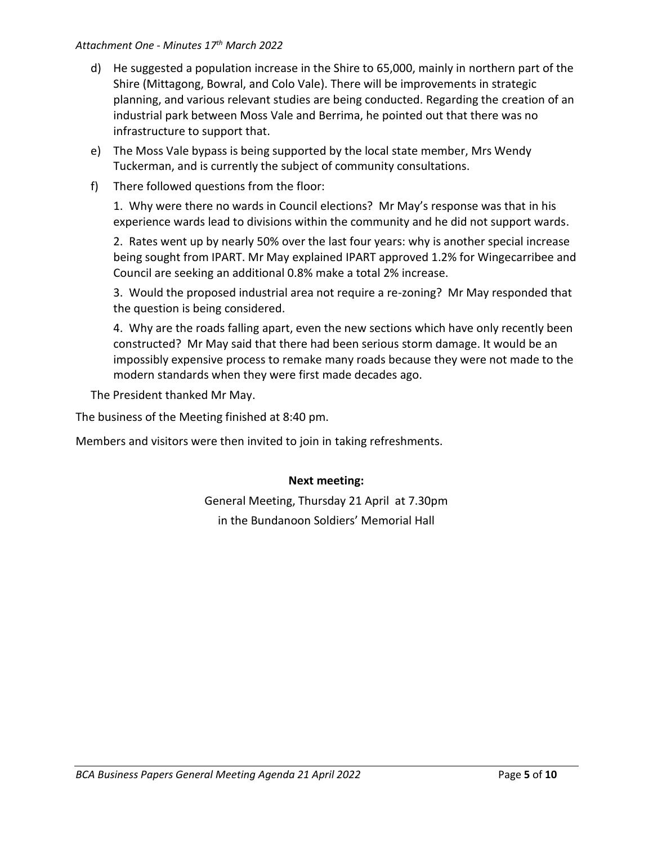#### *Attachment One - Minutes 17 th March 2022*

- d) He suggested a population increase in the Shire to 65,000, mainly in northern part of the Shire (Mittagong, Bowral, and Colo Vale). There will be improvements in strategic planning, and various relevant studies are being conducted. Regarding the creation of an industrial park between Moss Vale and Berrima, he pointed out that there was no infrastructure to support that.
- e) The Moss Vale bypass is being supported by the local state member, Mrs Wendy Tuckerman, and is currently the subject of community consultations.
- f) There followed questions from the floor:

1. Why were there no wards in Council elections? Mr May's response was that in his experience wards lead to divisions within the community and he did not support wards.

2. Rates went up by nearly 50% over the last four years: why is another special increase being sought from IPART. Mr May explained IPART approved 1.2% for Wingecarribee and Council are seeking an additional 0.8% make a total 2% increase.

3. Would the proposed industrial area not require a re-zoning? Mr May responded that the question is being considered.

4. Why are the roads falling apart, even the new sections which have only recently been constructed? Mr May said that there had been serious storm damage. It would be an impossibly expensive process to remake many roads because they were not made to the modern standards when they were first made decades ago.

The President thanked Mr May.

The business of the Meeting finished at 8:40 pm.

Members and visitors were then invited to join in taking refreshments.

# **Next meeting:**

General Meeting, Thursday 21 April at 7.30pm in the Bundanoon Soldiers' Memorial Hall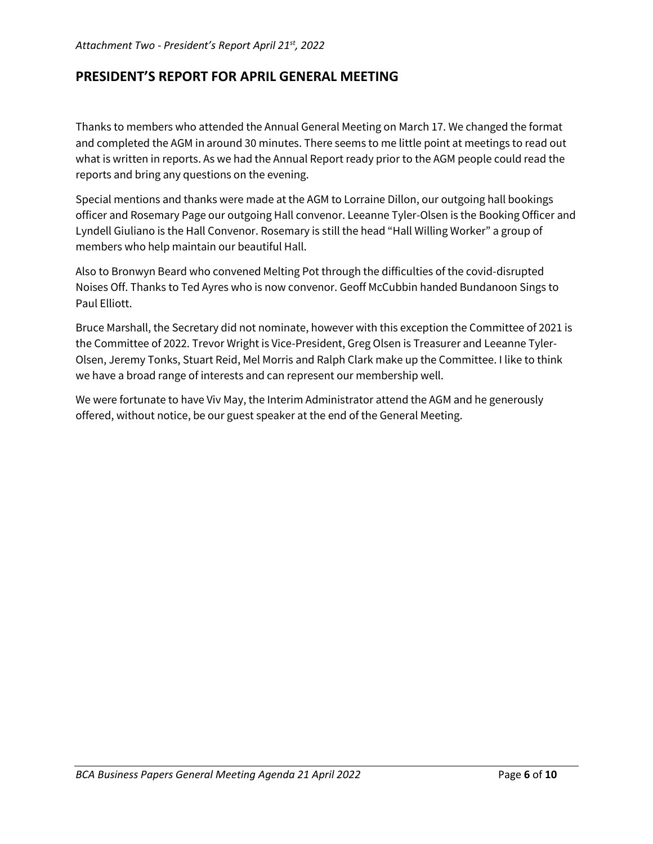# **PRESIDENT'S REPORT FOR APRIL GENERAL MEETING**

Thanks to members who attended the Annual General Meeting on March 17. We changed the format and completed the AGM in around 30 minutes. There seems to me little point at meetings to read out what is written in reports. As we had the Annual Report ready prior to the AGM people could read the reports and bring any questions on the evening.

Special mentions and thanks were made at the AGM to Lorraine Dillon, our outgoing hall bookings officer and Rosemary Page our outgoing Hall convenor. Leeanne Tyler-Olsen is the Booking Officer and Lyndell Giuliano is the Hall Convenor. Rosemary is still the head "Hall Willing Worker" a group of members who help maintain our beautiful Hall.

Also to Bronwyn Beard who convened Melting Pot through the difficulties of the covid-disrupted Noises Off. Thanks to Ted Ayres who is now convenor. Geoff McCubbin handed Bundanoon Sings to Paul Elliott.

Bruce Marshall, the Secretary did not nominate, however with this exception the Committee of 2021 is the Committee of 2022. Trevor Wright is Vice-President, Greg Olsen is Treasurer and Leeanne Tyler-Olsen, Jeremy Tonks, Stuart Reid, Mel Morris and Ralph Clark make up the Committee. I like to think we have a broad range of interests and can represent our membership well.

We were fortunate to have Viv May, the Interim Administrator attend the AGM and he generously offered, without notice, be our guest speaker at the end of the General Meeting.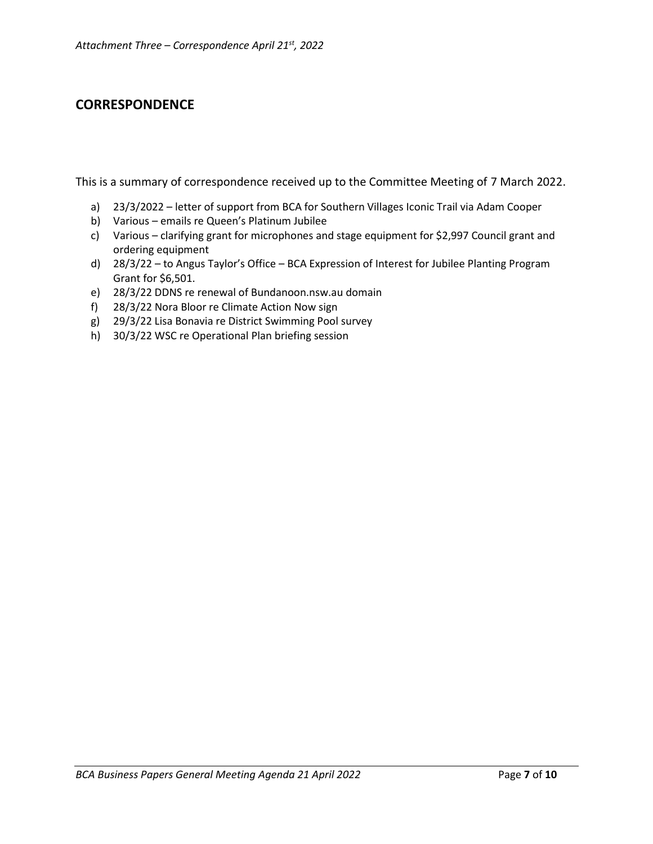# **CORRESPONDENCE**

This is a summary of correspondence received up to the Committee Meeting of 7 March 2022.

- a) 23/3/2022 letter of support from BCA for Southern Villages Iconic Trail via Adam Cooper
- b) Various emails re Queen's Platinum Jubilee
- c) Various clarifying grant for microphones and stage equipment for \$2,997 Council grant and ordering equipment
- d) 28/3/22 to Angus Taylor's Office BCA Expression of Interest for Jubilee Planting Program Grant for \$6,501.
- e) 28/3/22 DDNS re renewal of Bundanoon.nsw.au domain
- f) 28/3/22 Nora Bloor re Climate Action Now sign
- g) 29/3/22 Lisa Bonavia re District Swimming Pool survey
- h) 30/3/22 WSC re Operational Plan briefing session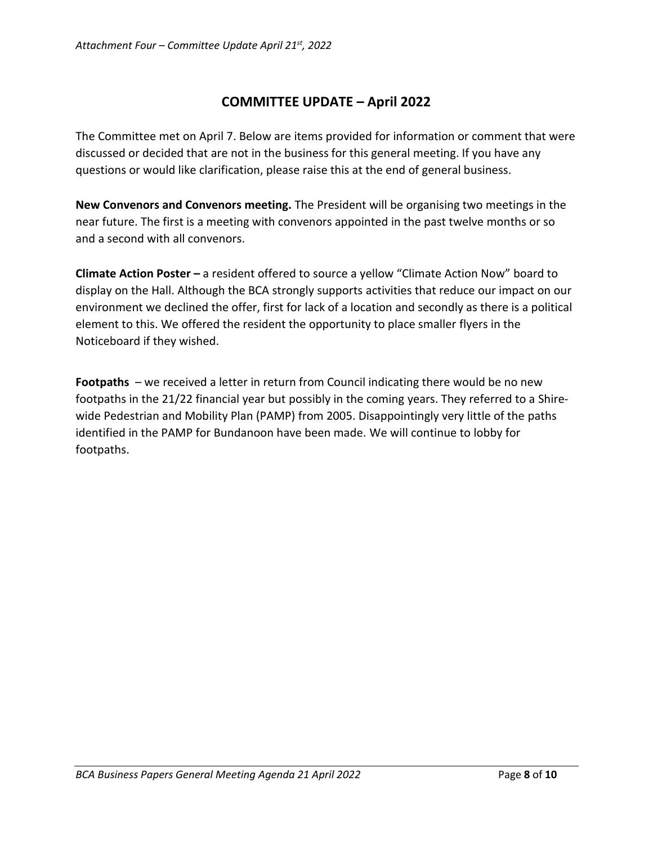# **COMMITTEE UPDATE – April 2022**

The Committee met on April 7. Below are items provided for information or comment that were discussed or decided that are not in the business for this general meeting. If you have any questions or would like clarification, please raise this at the end of general business.

**New Convenors and Convenors meeting.** The President will be organising two meetings in the near future. The first is a meeting with convenors appointed in the past twelve months or so and a second with all convenors.

**Climate Action Poster –** a resident offered to source a yellow "Climate Action Now" board to display on the Hall. Although the BCA strongly supports activities that reduce our impact on our environment we declined the offer, first for lack of a location and secondly as there is a political element to this. We offered the resident the opportunity to place smaller flyers in the Noticeboard if they wished.

**Footpaths** – we received a letter in return from Council indicating there would be no new footpaths in the 21/22 financial year but possibly in the coming years. They referred to a Shirewide Pedestrian and Mobility Plan (PAMP) from 2005. Disappointingly very little of the paths identified in the PAMP for Bundanoon have been made. We will continue to lobby for footpaths.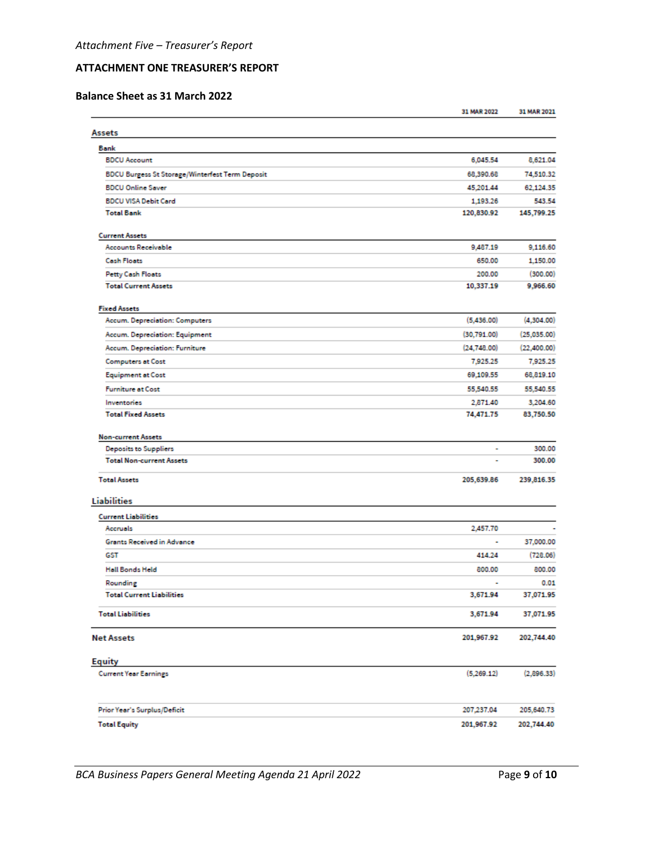#### **ATTACHMENT ONE TREASURER'S REPORT**

#### **Balance Sheet as 31 March 2022**

|                                                        | 31 MAR 2022    | 31 MAR 2021 |
|--------------------------------------------------------|----------------|-------------|
| Assets                                                 |                |             |
| Bank                                                   |                |             |
| <b>BDCU Account</b>                                    | 6,045.54       | 8,621.04    |
| <b>BDCU Burgess St Storage/Winterfest Term Deposit</b> | 68,390.68      | 74,510.32   |
| <b>BDCU Online Saver</b>                               | 45,201.44      | 62,124.35   |
| <b>BDCU VISA Debit Card</b>                            | 1,193.26       | 543.54      |
| <b>Total Bank</b>                                      | 120,830.92     | 145,799.25  |
| <b>Current Assets</b>                                  |                |             |
| <b>Accounts Receivable</b>                             | 9,487.19       | 9,116.60    |
| <b>Cash Floats</b>                                     | 650.00         | 1,150.00    |
| <b>Petty Cash Floats</b>                               | 200.00         | (300.00)    |
| <b>Total Current Assets</b>                            | 10,337.19      | 9,966.60    |
| <b>Fixed Assets</b>                                    |                |             |
| Accum. Depreciation: Computers                         | (5,436.00)     | (4,304.00)  |
| Accum. Depreciation: Equipment                         | (30, 791.00)   | (25,035.00) |
| Accum. Depreciation: Furniture                         | (24, 748.00)   | (22,400.00) |
| <b>Computers at Cost</b>                               | 7,925.25       | 7,925.25    |
| <b>Equipment at Cost</b>                               | 69,109.55      | 68,819.10   |
| <b>Furniture at Cost</b>                               | 55,540.55      | 55,540.55   |
| Inventories                                            | 2,871.40       | 3,204.60    |
| <b>Total Fixed Assets</b>                              | 74,471.75      | 83,750.50   |
| <b>Non-current Assets</b>                              |                |             |
| Deposits to Suppliers                                  | ÷              | 300.00      |
| <b>Total Non-current Assets</b>                        |                | 300.00      |
| <b>Total Assets</b>                                    | 205,639.86     | 239,816.35  |
| <b>Liabilities</b>                                     |                |             |
| <b>Current Liabilities</b>                             |                |             |
| Accruels                                               | 2,457.70       |             |
| <b>Grants Received in Advance</b>                      | ٠              | 37,000.00   |
| GST                                                    | 414.24         | (728.06)    |
| <b>Hall Bonds Held</b>                                 | 800.00         | 800.00      |
| Rounding                                               | $\overline{a}$ | 0.01        |
| <b>Total Current Liabilities</b>                       | 3,671.94       | 37,071.95   |
| <b>Total Liabilities</b>                               | 3,671.94       | 37,071.95   |
| <b>Net Assets</b>                                      | 201,967.92     | 202,744.40  |
| <b>Equity</b>                                          |                |             |
| <b>Current Year Earnings</b>                           | (5,269.12)     | (2,896.33)  |
| Prior Year's Surplus/Deficit                           | 207,237.04     | 205,640.73  |
| <b>Total Equity</b>                                    | 201,967.92     | 202,744.40  |